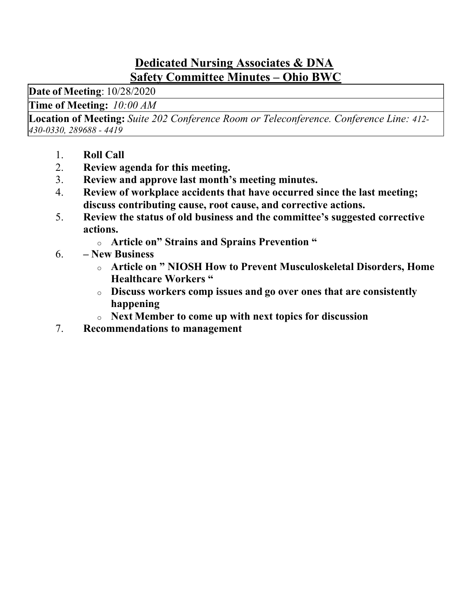#### Dedicated Nursing Associates & DNA Safety Committee Minutes – Ohio BWC

Date of Meeting: 10/28/2020

Time of Meeting:  10:00 AM

Location of Meeting: Suite 202 Conference Room or Teleconference. Conference Line: 412- 430-0330, 289688 - 4419

- 1. Roll Call
- 2. Review agenda for this meeting.
- 3. Review and approve last month's meeting minutes.
- 4. Review of workplace accidents that have occurred since the last meeting; discuss contributing cause, root cause, and corrective actions.
- 5. Review the status of old business and the committee's suggested corrective actions.
	- o Article on" Strains and Sprains Prevention "
- 6. New Business
	- o Article on " NIOSH How to Prevent Musculoskeletal Disorders, Home Healthcare Workers "
	- o Discuss workers comp issues and go over ones that are consistently happening
	- o Next Member to come up with next topics for discussion
- 7. Recommendations to management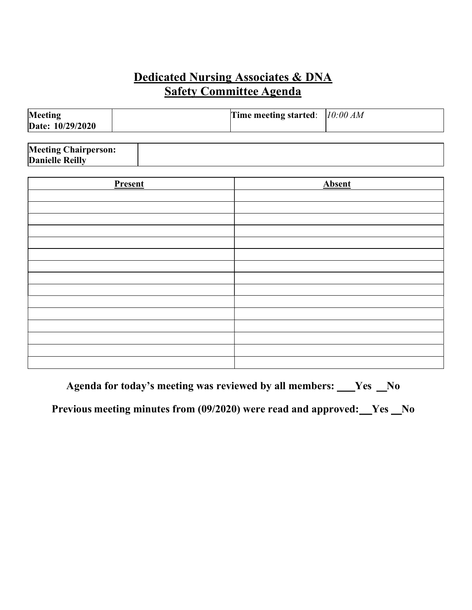### Dedicated Nursing Associates & DNA  Safety Committee Agenda

| Meeting<br>Date: 10/29/2020 | Time meeting started: $10:00 AM$ |  |
|-----------------------------|----------------------------------|--|
|                             |                                  |  |

| <b>Meeting Chairperson:</b> |  |
|-----------------------------|--|
| <b>Danielle Reilly</b>      |  |

| <b>Present</b> | <b>Absent</b> |
|----------------|---------------|
|                |               |
|                |               |
|                |               |
|                |               |
|                |               |
|                |               |
|                |               |
|                |               |
|                |               |
|                |               |
|                |               |
|                |               |
|                |               |
|                |               |
|                |               |

Agenda for today's meeting was reviewed by all members: \_\_\_Yes \_No

Previous meeting minutes from (09/2020) were read and approved: Ves No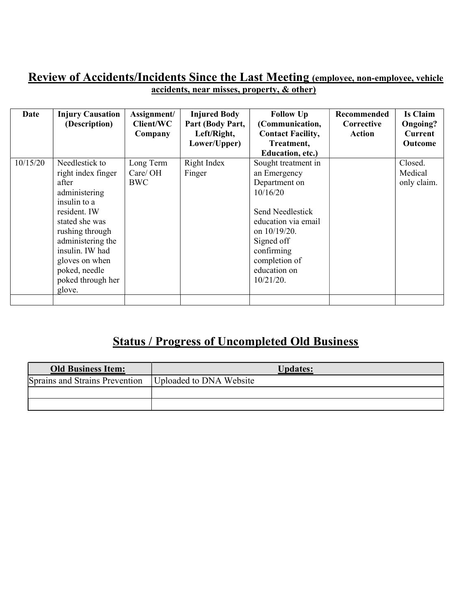#### Review of Accidents/Incidents Since the Last Meeting (employee, non-employee, vehicle accidents, near misses, property, & other)

| Date     | <b>Injury Causation</b><br>(Description)                                                                                                                                                                                                      | Assignment/<br>Client/WC<br>Company | <b>Injured Body</b><br>Part (Body Part,<br>Left/Right,<br>Lower/Upper) | <b>Follow Up</b><br>(Communication,<br><b>Contact Facility,</b><br>Treatment,                                                                                                                                                | Recommended<br>Corrective<br>Action | <b>Is Claim</b><br>Ongoing?<br>Current<br><b>Outcome</b> |
|----------|-----------------------------------------------------------------------------------------------------------------------------------------------------------------------------------------------------------------------------------------------|-------------------------------------|------------------------------------------------------------------------|------------------------------------------------------------------------------------------------------------------------------------------------------------------------------------------------------------------------------|-------------------------------------|----------------------------------------------------------|
| 10/15/20 | Needlestick to<br>right index finger<br>after<br>administering<br>insulin to a<br>resident. IW<br>stated she was<br>rushing through<br>administering the<br>insulin. IW had<br>gloves on when<br>poked, needle<br>poked through her<br>glove. | Long Term<br>Care/OH<br>BWC         | Right Index<br>Finger                                                  | Education, etc.)<br>Sought treatment in<br>an Emergency<br>Department on<br>10/16/20<br>Send Needlestick<br>education via email<br>on 10/19/20.<br>Signed off<br>confirming<br>completion of<br>education on<br>$10/21/20$ . |                                     | Closed.<br>Medical<br>only claim.                        |

# Status / Progress of Uncompleted Old Business

| <b>Old Business Item:</b>      | <u><b>Updates:</b></u>  |
|--------------------------------|-------------------------|
| Sprains and Strains Prevention | Uploaded to DNA Website |
|                                |                         |
|                                |                         |